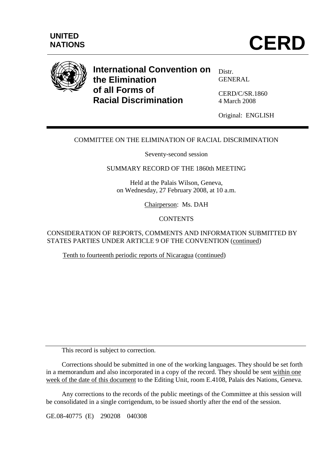

# **International Convention on the Elimination of all Forms of Racial Discrimination**

Distr. GENERAL

CERD/C/SR.1860 4 March 2008

Original: ENGLISH

# COMMITTEE ON THE ELIMINATION OF RACIAL DISCRIMINATION

Seventy-second session

#### SUMMARY RECORD OF THE 1860th MEETING

Held at the Palais Wilson, Geneva, on Wednesday, 27 February 2008, at 10 a.m.

Chairperson: Ms. DAH

# **CONTENTS**

CONSIDERATION OF REPORTS, COMMENTS AND INFORMATION SUBMITTED BY STATES PARTIES UNDER ARTICLE 9 OF THE CONVENTION (continued)

Tenth to fourteenth periodic reports of Nicaragua (continued)

This record is subject to correction.

 Corrections should be submitted in one of the working languages. They should be set forth in a memorandum and also incorporated in a copy of the record. They should be sent within one week of the date of this document to the Editing Unit, room E.4108, Palais des Nations, Geneva.

 Any corrections to the records of the public meetings of the Committee at this session will be consolidated in a single corrigendum, to be issued shortly after the end of the session.

GE.08-40775 (E) 290208 040308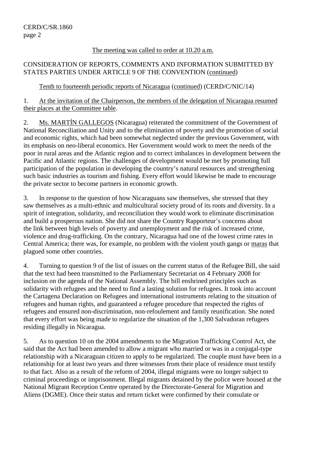#### The meeting was called to order at 10.20 a.m.

## CONSIDERATION OF REPORTS, COMMENTS AND INFORMATION SUBMITTED BY STATES PARTIES UNDER ARTICLE 9 OF THE CONVENTION (continued)

## Tenth to fourteenth periodic reports of Nicaragua (continued) (CERD/C/NIC/14)

1. At the invitation of the Chairperson, the members of the delegation of Nicaragua resumed their places at the Committee table.

2. Ms. MARTÍN GALLEGOS (Nicaragua) reiterated the commitment of the Government of National Reconciliation and Unity and to the elimination of poverty and the promotion of social and economic rights, which had been somewhat neglected under the previous Government, with its emphasis on neo-liberal economics. Her Government would work to meet the needs of the poor in rural areas and the Atlantic region and to correct imbalances in development between the Pacific and Atlantic regions. The challenges of development would be met by promoting full participation of the population in developing the country's natural resources and strengthening such basic industries as tourism and fishing. Every effort would likewise be made to encourage the private sector to become partners in economic growth.

3. In response to the question of how Nicaraguans saw themselves, she stressed that they saw themselves as a multi-ethnic and multicultural society proud of its roots and diversity. In a spirit of integration, solidarity, and reconciliation they would work to eliminate discrimination and build a prosperous nation. She did not share the Country Rapporteur's concerns about the link between high levels of poverty and unemployment and the risk of increased crime, violence and drug-trafficking. On the contrary, Nicaragua had one of the lowest crime rates in Central America; there was, for example, no problem with the violent youth gangs or maras that plagued some other countries.

4. Turning to question 9 of the list of issues on the current status of the Refugee Bill, she said that the text had been transmitted to the Parliamentary Secretariat on 4 February 2008 for inclusion on the agenda of the National Assembly. The bill enshrined principles such as solidarity with refugees and the need to find a lasting solution for refugees. It took into account the Cartagena Declaration on Refugees and international instruments relating to the situation of refugees and human rights, and guaranteed a refugee procedure that respected the rights of refugees and ensured non-discrimination, non-refoulement and family reunification. She noted that every effort was being made to regularize the situation of the 1,300 Salvadoran refugees residing illegally in Nicaragua.

5. As to question 10 on the 2004 amendments to the Migration Trafficking Control Act, she said that the Act had been amended to allow a migrant who married or was in a conjugal-type relationship with a Nicaraguan citizen to apply to be regularized. The couple must have been in a relationship for at least two years and three witnesses from their place of residence must testify to that fact. Also as a result of the reform of 2004, illegal migrants were no longer subject to criminal proceedings or imprisonment. Illegal migrants detained by the police were housed at the National Migrant Reception Centre operated by the Directorate-General for Migration and Aliens (DGME). Once their status and return ticket were confirmed by their consulate or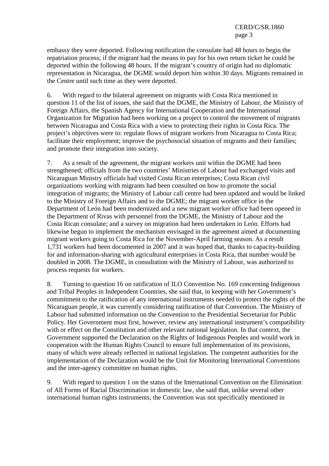embassy they were deported. Following notification the consulate had 48 hours to begin the repatriation process; if the migrant had the means to pay for his own return ticket he could be deported within the following 48 hours. If the migrant's country of origin had no diplomatic representation in Nicaragua, the DGME would deport him within 30 days. Migrants remained in the Centre until such time as they were deported.

6. With regard to the bilateral agreement on migrants with Costa Rica mentioned in question 11 of the list of issues, she said that the DGME, the Ministry of Labour, the Ministry of Foreign Affairs, the Spanish Agency for International Cooperation and the International Organization for Migration had been working on a project to control the movement of migrants between Nicaragua and Costa Rica with a view to protecting their rights in Costa Rica. The project's objectives were to: regulate flows of migrant workers from Nicaragua to Costa Rica; facilitate their employment; improve the psychosocial situation of migrants and their families; and promote their integration into society.

7. As a result of the agreement, the migrant workers unit within the DGME had been strengthened; officials from the two countries' Ministries of Labour had exchanged visits and Nicaraguan Ministry officials had visited Costa Rican enterprises; Costa Rican civil organizations working with migrants had been consulted on how to promote the social integration of migrants; the Ministry of Labour call centre had been updated and would be linked to the Ministry of Foreign Affairs and to the DGME; the migrant worker office in the Department of León had been modernized and a new migrant worker office had been opened in the Department of Rivas with personnel from the DGME, the Ministry of Labour and the Costa Rican consulate; and a survey on migration had been undertaken in León. Efforts had likewise begun to implement the mechanism envisaged in the agreement aimed at documenting migrant workers going to Costa Rica for the November-April farming season. As a result 1,731 workers had been documented in 2007 and it was hoped that, thanks to capacity-building for and information-sharing with agricultural enterprises in Costa Rica, that number would be doubled in 2008. The DGME, in consultation with the Ministry of Labour, was authorized to process requests for workers.

8. Turning to question 16 on ratification of ILO Convention No. 169 concerning Indigenous and Tribal Peoples in Independent Countries, she said that, in keeping with her Government's commitment to the ratification of any international instruments needed to protect the rights of the Nicaraguan people, it was currently considering ratification of that Convention. The Ministry of Labour had submitted information on the Convention to the Presidential Secretariat for Public Policy. Her Government must first, however, review any international instrument's compatibility with or effect on the Constitution and other relevant national legislation. In that context, the Government supported the Declaration on the Rights of Indigenous Peoples and would work in cooperation with the Human Rights Council to ensure full implementation of its provisions, many of which were already reflected in national legislation. The competent authorities for the implementation of the Declaration would be the Unit for Monitoring International Conventions and the inter-agency committee on human rights.

9. With regard to question 1 on the status of the International Convention on the Elimination of All Forms of Racial Discrimination in domestic law, she said that, unlike several other international human rights instruments, the Convention was not specifically mentioned in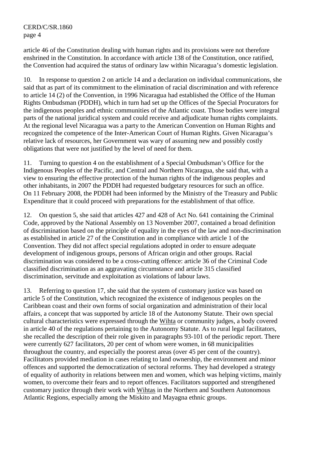article 46 of the Constitution dealing with human rights and its provisions were not therefore enshrined in the Constitution. In accordance with article 138 of the Constitution, once ratified, the Convention had acquired the status of ordinary law within Nicaragua's domestic legislation.

10. In response to question 2 on article 14 and a declaration on individual communications, she said that as part of its commitment to the elimination of racial discrimination and with reference to article 14 (2) of the Convention, in 1996 Nicaragua had established the Office of the Human Rights Ombudsman (PDDH), which in turn had set up the Offices of the Special Procurators for the indigenous peoples and ethnic communities of the Atlantic coast. Those bodies were integral parts of the national juridical system and could receive and adjudicate human rights complaints. At the regional level Nicaragua was a party to the American Convention on Human Rights and recognized the competence of the Inter-American Court of Human Rights. Given Nicaragua's relative lack of resources, her Government was wary of assuming new and possibly costly obligations that were not justified by the level of need for them.

11. Turning to question 4 on the establishment of a Special Ombudsman's Office for the Indigenous Peoples of the Pacific, and Central and Northern Nicaragua, she said that, with a view to ensuring the effective protection of the human rights of the indigenous peoples and other inhabitants, in 2007 the PDDH had requested budgetary resources for such an office. On 11 February 2008, the PDDH had been informed by the Ministry of the Treasury and Public Expenditure that it could proceed with preparations for the establishment of that office.

12. On question 5, she said that articles 427 and 428 of Act No. 641 containing the Criminal Code, approved by the National Assembly on 13 November 2007, contained a broad definition of discrimination based on the principle of equality in the eyes of the law and non-discrimination as established in article 27 of the Constitution and in compliance with article 1 of the Convention. They did not affect special regulations adopted in order to ensure adequate development of indigenous groups, persons of African origin and other groups. Racial discrimination was considered to be a cross-cutting offence: article 36 of the Criminal Code classified discrimination as an aggravating circumstance and article 315 classified discrimination, servitude and exploitation as violations of labour laws.

13. Referring to question 17, she said that the system of customary justice was based on article 5 of the Constitution, which recognized the existence of indigenous peoples on the Caribbean coast and their own forms of social organization and administration of their local affairs, a concept that was supported by article 18 of the Autonomy Statute. Their own special cultural characteristics were expressed through the Wihta or community judges, a body covered in article 40 of the regulations pertaining to the Autonomy Statute. As to rural legal facilitators, she recalled the description of their role given in paragraphs 93-101 of the periodic report. There were currently 627 facilitators, 20 per cent of whom were women, in 68 municipalities throughout the country, and especially the poorest areas (over 45 per cent of the country). Facilitators provided mediation in cases relating to land ownership, the environment and minor offences and supported the democratization of sectoral reforms. They had developed a strategy of equality of authority in relations between men and women, which was helping victims, mainly women, to overcome their fears and to report offences. Facilitators supported and strengthened customary justice through their work with Wihtas in the Northern and Southern Autonomous Atlantic Regions, especially among the Miskito and Mayagna ethnic groups.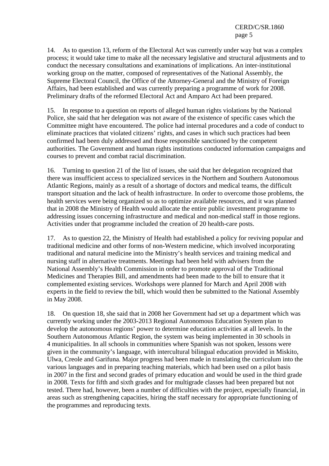14. As to question 13, reform of the Electoral Act was currently under way but was a complex process; it would take time to make all the necessary legislative and structural adjustments and to conduct the necessary consultations and examinations of implications. An inter-institutional working group on the matter, composed of representatives of the National Assembly, the Supreme Electoral Council, the Office of the Attorney-General and the Ministry of Foreign Affairs, had been established and was currently preparing a programme of work for 2008. Preliminary drafts of the reformed Electoral Act and Amparo Act had been prepared.

15. In response to a question on reports of alleged human rights violations by the National Police, she said that her delegation was not aware of the existence of specific cases which the Committee might have encountered. The police had internal procedures and a code of conduct to eliminate practices that violated citizens' rights, and cases in which such practices had been confirmed had been duly addressed and those responsible sanctioned by the competent authorities. The Government and human rights institutions conducted information campaigns and courses to prevent and combat racial discrimination.

16. Turning to question 21 of the list of issues, she said that her delegation recognized that there was insufficient access to specialized services in the Northern and Southern Autonomous Atlantic Regions, mainly as a result of a shortage of doctors and medical teams, the difficult transport situation and the lack of health infrastructure. In order to overcome those problems, the health services were being organized so as to optimize available resources, and it was planned that in 2008 the Ministry of Health would allocate the entire public investment programme to addressing issues concerning infrastructure and medical and non-medical staff in those regions. Activities under that programme included the creation of 20 health-care posts.

17. As to question 22, the Ministry of Health had established a policy for reviving popular and traditional medicine and other forms of non-Western medicine, which involved incorporating traditional and natural medicine into the Ministry's health services and training medical and nursing staff in alternative treatments. Meetings had been held with advisers from the National Assembly's Health Commission in order to promote approval of the Traditional Medicines and Therapies Bill, and amendments had been made to the bill to ensure that it complemented existing services. Workshops were planned for March and April 2008 with experts in the field to review the bill, which would then be submitted to the National Assembly in May 2008.

18. On question 18, she said that in 2008 her Government had set up a department which was currently working under the 2003-2013 Regional Autonomous Education System plan to develop the autonomous regions' power to determine education activities at all levels. In the Southern Autonomous Atlantic Region, the system was being implemented in 30 schools in 4 municipalities. In all schools in communities where Spanish was not spoken, lessons were given in the community's language, with intercultural bilingual education provided in Miskito, Ulwa, Creole and Garifuna. Major progress had been made in translating the curriculum into the various languages and in preparing teaching materials, which had been used on a pilot basis in 2007 in the first and second grades of primary education and would be used in the third grade in 2008. Texts for fifth and sixth grades and for multigrade classes had been prepared but not tested. There had, however, been a number of difficulties with the project, especially financial, in areas such as strengthening capacities, hiring the staff necessary for appropriate functioning of the programmes and reproducing texts.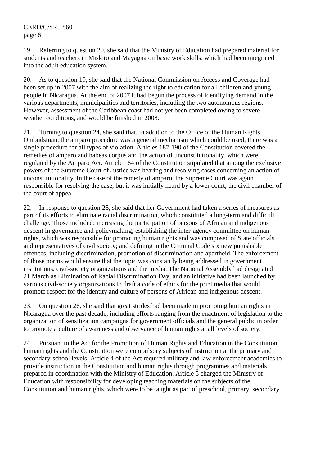19. Referring to question 20, she said that the Ministry of Education had prepared material for students and teachers in Miskito and Mayagna on basic work skills, which had been integrated into the adult education system.

20. As to question 19, she said that the National Commission on Access and Coverage had been set up in 2007 with the aim of realizing the right to education for all children and young people in Nicaragua. At the end of 2007 it had begun the process of identifying demand in the various departments, municipalities and territories, including the two autonomous regions. However, assessment of the Caribbean coast had not yet been completed owing to severe weather conditions, and would be finished in 2008.

21. Turning to question 24, she said that, in addition to the Office of the Human Rights Ombudsman, the amparo procedure was a general mechanism which could be used; there was a single procedure for all types of violation. Articles 187-190 of the Constitution covered the remedies of amparo and habeas corpus and the action of unconstitutionality, which were regulated by the Amparo Act. Article 164 of the Constitution stipulated that among the exclusive powers of the Supreme Court of Justice was hearing and resolving cases concerning an action of unconstitutionality. In the case of the remedy of amparo, the Supreme Court was again responsible for resolving the case, but it was initially heard by a lower court, the civil chamber of the court of appeal.

22. In response to question 25, she said that her Government had taken a series of measures as part of its efforts to eliminate racial discrimination, which constituted a long-term and difficult challenge. Those included: increasing the participation of persons of African and indigenous descent in governance and policymaking; establishing the inter-agency committee on human rights, which was responsible for promoting human rights and was composed of State officials and representatives of civil society; and defining in the Criminal Code six new punishable offences, including discrimination, promotion of discrimination and apartheid. The enforcement of those norms would ensure that the topic was constantly being addressed in government institutions, civil-society organizations and the media. The National Assembly had designated 21 March as Elimination of Racial Discrimination Day, and an initiative had been launched by various civil-society organizations to draft a code of ethics for the print media that would promote respect for the identity and culture of persons of African and indigenous descent.

23. On question 26, she said that great strides had been made in promoting human rights in Nicaragua over the past decade, including efforts ranging from the enactment of legislation to the organization of sensitization campaigns for government officials and the general public in order to promote a culture of awareness and observance of human rights at all levels of society.

24. Pursuant to the Act for the Promotion of Human Rights and Education in the Constitution, human rights and the Constitution were compulsory subjects of instruction at the primary and secondary-school levels. Article 4 of the Act required military and law enforcement academies to provide instruction in the Constitution and human rights through programmes and materials prepared in coordination with the Ministry of Education. Article 5 charged the Ministry of Education with responsibility for developing teaching materials on the subjects of the Constitution and human rights, which were to be taught as part of preschool, primary, secondary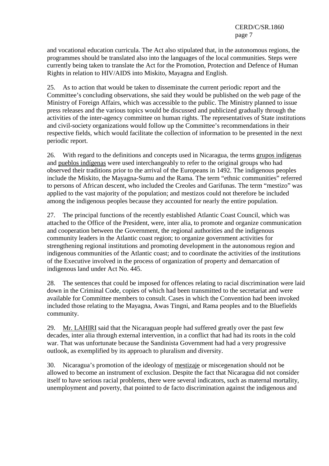and vocational education curricula. The Act also stipulated that, in the autonomous regions, the programmes should be translated also into the languages of the local communities. Steps were currently being taken to translate the Act for the Promotion, Protection and Defence of Human Rights in relation to HIV/AIDS into Miskito, Mayagna and English.

25. As to action that would be taken to disseminate the current periodic report and the Committee's concluding observations, she said they would be published on the web page of the Ministry of Foreign Affairs, which was accessible to the public. The Ministry planned to issue press releases and the various topics would be discussed and publicized gradually through the activities of the inter-agency committee on human rights. The representatives of State institutions and civil-society organizations would follow up the Committee's recommendations in their respective fields, which would facilitate the collection of information to be presented in the next periodic report.

26. With regard to the definitions and concepts used in Nicaragua, the terms grupos indígenas and pueblos indígenas were used interchangeably to refer to the original groups who had observed their traditions prior to the arrival of the Europeans in 1492. The indigenous peoples include the Miskito, the Mayagna-Sumu and the Rama. The term "ethnic communities" referred to persons of African descent, who included the Creoles and Garifunas. The term "mestizo" was applied to the vast majority of the population; and mestizos could not therefore be included among the indigenous peoples because they accounted for nearly the entire population.

27. The principal functions of the recently established Atlantic Coast Council, which was attached to the Office of the President, were, inter alia, to promote and organize communication and cooperation between the Government, the regional authorities and the indigenous community leaders in the Atlantic coast region; to organize government activities for strengthening regional institutions and promoting development in the autonomous region and indigenous communities of the Atlantic coast; and to coordinate the activities of the institutions of the Executive involved in the process of organization of property and demarcation of indigenous land under Act No. 445.

28. The sentences that could be imposed for offences relating to racial discrimination were laid down in the Criminal Code, copies of which had been transmitted to the secretariat and were available for Committee members to consult. Cases in which the Convention had been invoked included those relating to the Mayagna, Awas Tingni, and Rama peoples and to the Bluefields community.

29. Mr. LAHIRI said that the Nicaraguan people had suffered greatly over the past few decades, inter alia through external intervention, in a conflict that had had its roots in the cold war. That was unfortunate because the Sandinista Government had had a very progressive outlook, as exemplified by its approach to pluralism and diversity.

30. Nicaragua's promotion of the ideology of mestizaje or miscegenation should not be allowed to become an instrument of exclusion. Despite the fact that Nicaragua did not consider itself to have serious racial problems, there were several indicators, such as maternal mortality, unemployment and poverty, that pointed to de facto discrimination against the indigenous and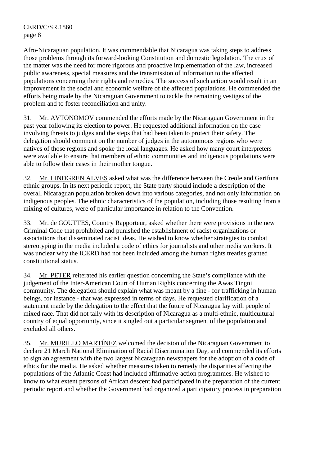Afro-Nicaraguan population. It was commendable that Nicaragua was taking steps to address those problems through its forward-looking Constitution and domestic legislation. The crux of the matter was the need for more rigorous and proactive implementation of the law, increased public awareness, special measures and the transmission of information to the affected populations concerning their rights and remedies. The success of such action would result in an improvement in the social and economic welfare of the affected populations. He commended the efforts being made by the Nicaraguan Government to tackle the remaining vestiges of the problem and to foster reconciliation and unity.

31. Mr. AVTONOMOV commended the efforts made by the Nicaraguan Government in the past year following its election to power. He requested additional information on the case involving threats to judges and the steps that had been taken to protect their safety. The delegation should comment on the number of judges in the autonomous regions who were natives of those regions and spoke the local languages. He asked how many court interpreters were available to ensure that members of ethnic communities and indigenous populations were able to follow their cases in their mother tongue.

32. Mr. LINDGREN ALVES asked what was the difference between the Creole and Garifuna ethnic groups. In its next periodic report, the State party should include a description of the overall Nicaraguan population broken down into various categories, and not only information on indigenous peoples. The ethnic characteristics of the population, including those resulting from a mixing of cultures, were of particular importance in relation to the Convention.

33. Mr. de GOUTTES, Country Rapporteur, asked whether there were provisions in the new Criminal Code that prohibited and punished the establishment of racist organizations or associations that disseminated racist ideas. He wished to know whether strategies to combat stereotyping in the media included a code of ethics for journalists and other media workers. It was unclear why the ICERD had not been included among the human rights treaties granted constitutional status.

34. Mr. PETER reiterated his earlier question concerning the State's compliance with the judgement of the Inter-American Court of Human Rights concerning the Awas Tingni community. The delegation should explain what was meant by a fine - for trafficking in human beings, for instance - that was expressed in terms of days. He requested clarification of a statement made by the delegation to the effect that the future of Nicaragua lay with people of mixed race. That did not tally with its description of Nicaragua as a multi-ethnic, multicultural country of equal opportunity, since it singled out a particular segment of the population and excluded all others.

35. Mr. MURILLO MARTÍNEZ welcomed the decision of the Nicaraguan Government to declare 21 March National Elimination of Racial Discrimination Day, and commended its efforts to sign an agreement with the two largest Nicaraguan newspapers for the adoption of a code of ethics for the media. He asked whether measures taken to remedy the disparities affecting the populations of the Atlantic Coast had included affirmative-action programmes. He wished to know to what extent persons of African descent had participated in the preparation of the current periodic report and whether the Government had organized a participatory process in preparation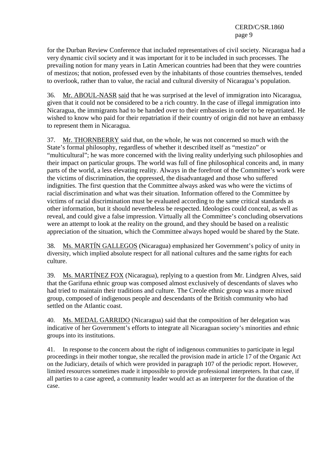for the Durban Review Conference that included representatives of civil society. Nicaragua had a very dynamic civil society and it was important for it to be included in such processes. The prevailing notion for many years in Latin American countries had been that they were countries of mestizos; that notion, professed even by the inhabitants of those countries themselves, tended to overlook, rather than to value, the racial and cultural diversity of Nicaragua's population.

36. Mr. ABOUL-NASR said that he was surprised at the level of immigration into Nicaragua, given that it could not be considered to be a rich country. In the case of illegal immigration into Nicaragua, the immigrants had to be handed over to their embassies in order to be repatriated. He wished to know who paid for their repatriation if their country of origin did not have an embassy to represent them in Nicaragua.

37. Mr. THORNBERRY said that, on the whole, he was not concerned so much with the State's formal philosophy, regardless of whether it described itself as "mestizo" or "multicultural"; he was more concerned with the living reality underlying such philosophies and their impact on particular groups. The world was full of fine philosophical conceits and, in many parts of the world, a less elevating reality. Always in the forefront of the Committee's work were the victims of discrimination, the oppressed, the disadvantaged and those who suffered indignities. The first question that the Committee always asked was who were the victims of racial discrimination and what was their situation. Information offered to the Committee by victims of racial discrimination must be evaluated according to the same critical standards as other information, but it should nevertheless be respected. Ideologies could conceal, as well as reveal, and could give a false impression. Virtually all the Committee's concluding observations were an attempt to look at the reality on the ground, and they should be based on a realistic appreciation of the situation, which the Committee always hoped would be shared by the State.

38. Ms. MARTÍN GALLEGOS (Nicaragua) emphasized her Government's policy of unity in diversity, which implied absolute respect for all national cultures and the same rights for each culture.

39. Ms. MARTÍNEZ FOX (Nicaragua), replying to a question from Mr. Lindgren Alves, said that the Garifuna ethnic group was composed almost exclusively of descendants of slaves who had tried to maintain their traditions and culture. The Creole ethnic group was a more mixed group, composed of indigenous people and descendants of the British community who had settled on the Atlantic coast.

40. Ms. MEDAL GARRIDO (Nicaragua) said that the composition of her delegation was indicative of her Government's efforts to integrate all Nicaraguan society's minorities and ethnic groups into its institutions.

41. In response to the concern about the right of indigenous communities to participate in legal proceedings in their mother tongue, she recalled the provision made in article 17 of the Organic Act on the Judiciary, details of which were provided in paragraph 107 of the periodic report. However, limited resources sometimes made it impossible to provide professional interpreters. In that case, if all parties to a case agreed, a community leader would act as an interpreter for the duration of the case.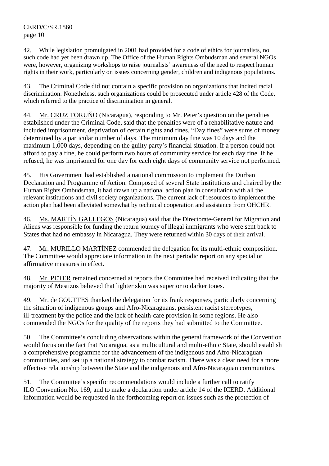42. While legislation promulgated in 2001 had provided for a code of ethics for journalists, no such code had yet been drawn up. The Office of the Human Rights Ombudsman and several NGOs were, however, organizing workshops to raise journalists' awareness of the need to respect human rights in their work, particularly on issues concerning gender, children and indigenous populations.

43. The Criminal Code did not contain a specific provision on organizations that incited racial discrimination. Nonetheless, such organizations could be prosecuted under article 428 of the Code, which referred to the practice of discrimination in general.

44. Mr. CRUZ TORUÑO (Nicaragua), responding to Mr. Peter's question on the penalties established under the Criminal Code, said that the penalties were of a rehabilitative nature and included imprisonment, deprivation of certain rights and fines. "Day fines" were sums of money determined by a particular number of days. The minimum day fine was 10 days and the maximum 1,000 days, depending on the guilty party's financial situation. If a person could not afford to pay a fine, he could perform two hours of community service for each day fine. If he refused, he was imprisoned for one day for each eight days of community service not performed.

45. His Government had established a national commission to implement the Durban Declaration and Programme of Action. Composed of several State institutions and chaired by the Human Rights Ombudsman, it had drawn up a national action plan in consultation with all the relevant institutions and civil society organizations. The current lack of resources to implement the action plan had been alleviated somewhat by technical cooperation and assistance from OHCHR.

46. Ms. MARTÍN GALLEGOS (Nicaragua) said that the Directorate-General for Migration and Aliens was responsible for funding the return journey of illegal immigrants who were sent back to States that had no embassy in Nicaragua. They were returned within 30 days of their arrival.

47. Mr. MURILLO MARTÍNEZ commended the delegation for its multi-ethnic composition. The Committee would appreciate information in the next periodic report on any special or affirmative measures in effect.

48. Mr. PETER remained concerned at reports the Committee had received indicating that the majority of Mestizos believed that lighter skin was superior to darker tones.

49. Mr. de GOUTTES thanked the delegation for its frank responses, particularly concerning the situation of indigenous groups and Afro-Nicaraguans, persistent racist stereotypes, ill-treatment by the police and the lack of health-care provision in some regions. He also commended the NGOs for the quality of the reports they had submitted to the Committee.

50. The Committee's concluding observations within the general framework of the Convention would focus on the fact that Nicaragua, as a multicultural and multi-ethnic State, should establish a comprehensive programme for the advancement of the indigenous and Afro-Nicaraguan communities, and set up a national strategy to combat racism. There was a clear need for a more effective relationship between the State and the indigenous and Afro-Nicaraguan communities.

51. The Committee's specific recommendations would include a further call to ratify ILO Convention No. 169, and to make a declaration under article 14 of the ICERD. Additional information would be requested in the forthcoming report on issues such as the protection of